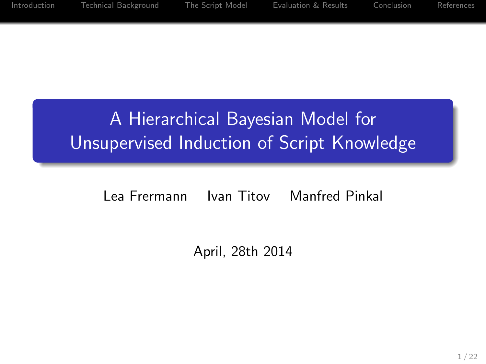# A Hierarchical Bayesian Model for Unsupervised Induction of Script Knowledge

#### Lea Frermann Ivan Titov Manfred Pinkal

April, 28th 2014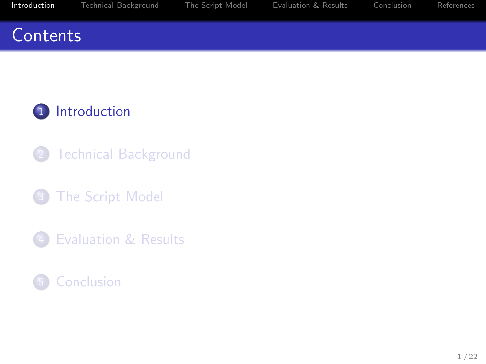## <span id="page-1-0"></span>**Contents**



- **[Technical Background](#page-13-0)**
- **3** [The Script Model](#page-16-0)
- 4 [Evaluation & Results](#page-30-0)

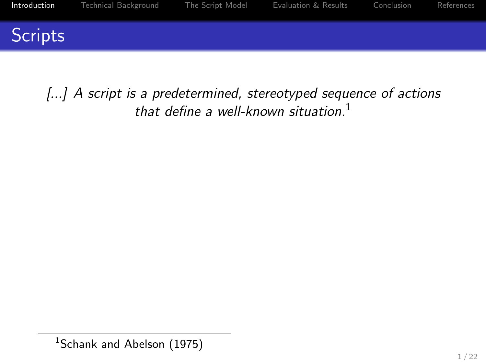

[...] A script is a predetermined, stereotyped sequence of actions that define a well-known situation. $1$ 

<sup>&</sup>lt;sup>1</sup>Schank and Abelson (1975)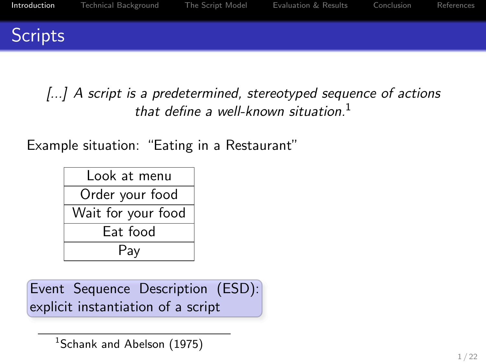

[...] A script is a predetermined, stereotyped sequence of actions that define a well-known situation. $1$ 

Example situation: "Eating in a Restaurant"

| l ook at menu      |  |  |
|--------------------|--|--|
| Order your food    |  |  |
| Wait for your food |  |  |
| Eat food           |  |  |
| Pay                |  |  |

Event Sequence Description (ESD): explicit instantiation of a script

<sup>1</sup>Schank and Abelson (1975)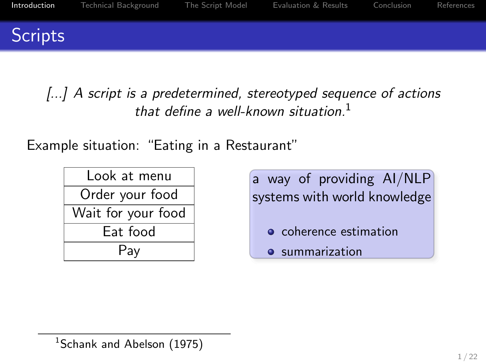

[...] A script is a predetermined, stereotyped sequence of actions that define a well-known situation. $1$ 

Example situation: "Eating in a Restaurant"

| Look at menu       |  |  |
|--------------------|--|--|
| Order your food    |  |  |
| Wait for your food |  |  |
| Eat food           |  |  |
| Pay                |  |  |

a way of providing AI/NLP systems with world knowledge

- **o** coherence estimation
- **•** summarization

 $1$ Schank and Abelson (1975)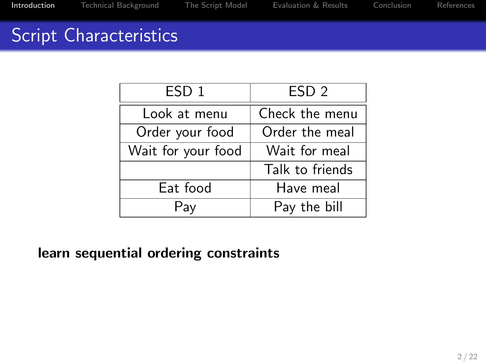# Script Characteristics

| ESD <sub>1</sub>   | ESD <sub>2</sub> |  |
|--------------------|------------------|--|
| Look at menu       | Check the menu   |  |
| Order your food    | Order the meal   |  |
| Wait for your food | Wait for meal    |  |
|                    | Talk to friends  |  |
| Eat food           | Have meal        |  |
| Pay                | Pay the bill     |  |

learn sequential ordering constraints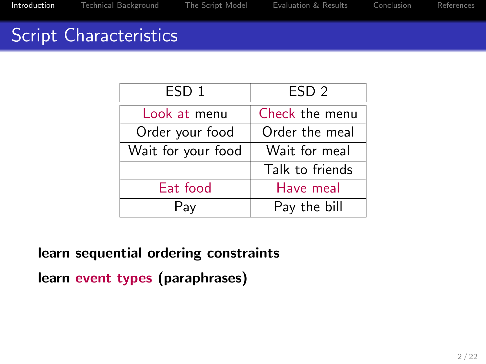# Script Characteristics

| ESD <sub>1</sub>   | ESD <sub>2</sub> |  |
|--------------------|------------------|--|
| Look at menu       | Check the menu   |  |
| Order your food    | Order the meal   |  |
| Wait for your food | Wait for meal    |  |
|                    | Talk to friends  |  |
| Eat food           | Have meal        |  |
| Pav                | Pay the bill     |  |

learn sequential ordering constraints

learn event types (paraphrases)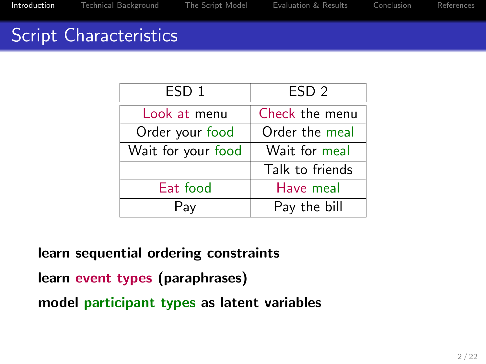# Script Characteristics

| ESD <sub>1</sub>   | ESD <sub>2</sub> |  |
|--------------------|------------------|--|
| Look at menu       | Check the menu   |  |
| Order your food    | Order the meal   |  |
| Wait for your food | Wait for meal    |  |
|                    | Talk to friends  |  |
| Eat food           | Have meal        |  |
| Pav                | Pay the bill     |  |

learn sequential ordering constraints

learn event types (paraphrases)

model participant types as latent variables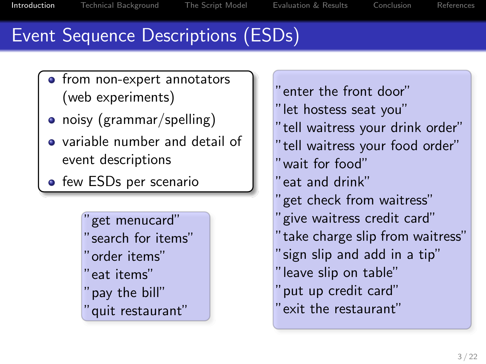# Event Sequence Descriptions (ESDs)

- from non-expert annotators (web experiments)
- noisy (grammar/spelling)
- variable number and detail of event descriptions
- **•** few ESDs per scenario

"get menucard" "search for items" "order items" "eat items" "pay the bill" "quit restaurant"

"enter the front door" "let hostess seat you" "tell waitress your drink order" "tell waitress your food order" "wait for food" "eat and drink" "get check from waitress" "give waitress credit card" "take charge slip from waitress" "sign slip and add in a tip" "leave slip on table" "put up credit card" "exit the restaurant"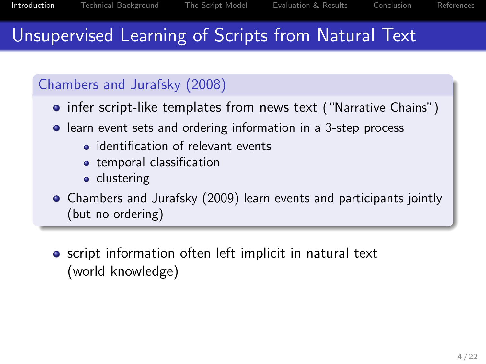# Unsupervised Learning of Scripts from Natural Text

#### Chambers and Jurafsky (2008)

- infer script-like templates from news text ("Narrative Chains")
- **•** learn event sets and ordering information in a 3-step process
	- *•* identification of relevant events
	- temporal classification
	- clustering
- Chambers and Jurafsky (2009) learn events and participants jointly (but no ordering)
- **•** script information often left implicit in natural text (world knowledge)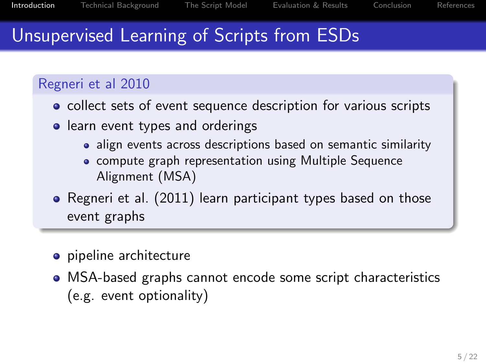# Unsupervised Learning of Scripts from ESDs

#### Regneri et al 2010

- collect sets of event sequence description for various scripts
- learn event types and orderings
	- align events across descriptions based on semantic similarity
	- compute graph representation using Multiple Sequence Alignment (MSA)
- Regneri et al. (2011) learn participant types based on those event graphs
- pipeline architecture
- MSA-based graphs cannot encode some script characteristics (e.g. event optionality)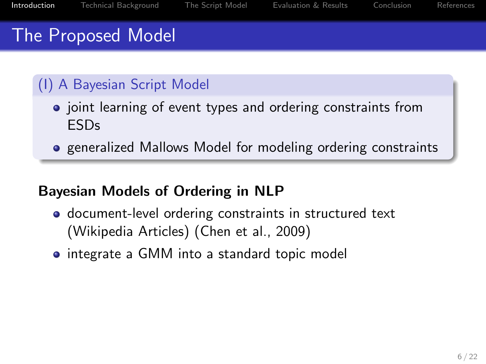# The Proposed Model

#### (I) A Bayesian Script Model

- joint learning of event types and ordering constraints from ESDs
- **•** generalized Mallows Model for modeling ordering constraints

#### Bayesian Models of Ordering in NLP

- **o** document-level ordering constraints in structured text (Wikipedia Articles) (Chen et al., 2009)
- integrate a GMM into a standard topic model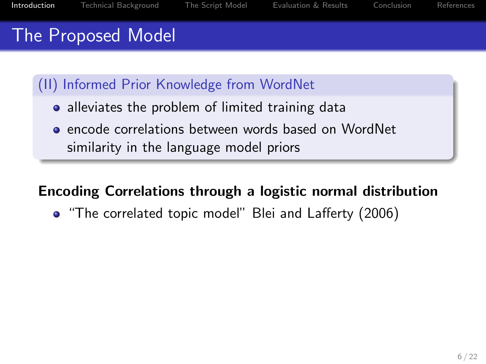# The Proposed Model

(II) Informed Prior Knowledge from WordNet

- alleviates the problem of limited training data
- encode correlations between words based on WordNet similarity in the language model priors

#### Encoding Correlations through a logistic normal distribution

• "The correlated topic model" Blei and Lafferty (2006)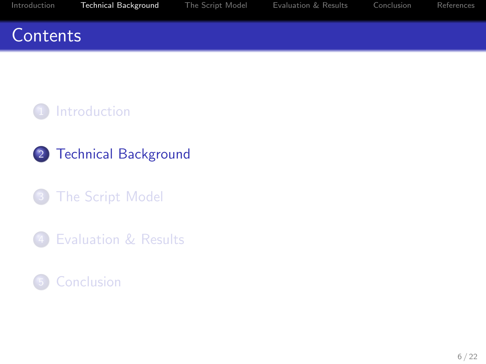#### <span id="page-13-0"></span>**Contents**



- [Technical Background](#page-13-0)
- [The Script Model](#page-16-0)
- [Evaluation & Results](#page-30-0)

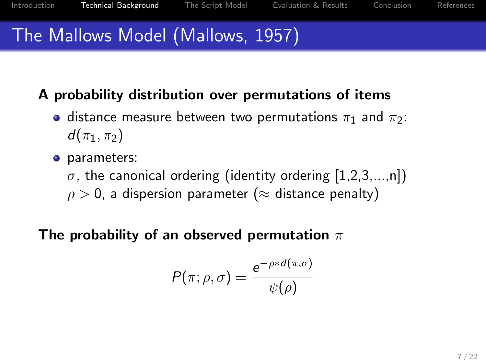# The Mallows Model (Mallows, 1957)

#### A probability distribution over permutations of items

- distance measure between two permutations  $\pi_1$  and  $\pi_2$ :  $d(\pi_1, \pi_2)$
- **o** parameters:
	- $\sigma$ , the canonical ordering (identity ordering [1,2,3,...,n])
	- $\rho > 0$ , a dispersion parameter ( $\approx$  distance penalty)

#### The probability of an observed permutation  $\pi$

$$
P(\pi;\rho,\sigma)=\frac{e^{-\rho*d(\pi,\sigma)}}{\psi(\rho)}
$$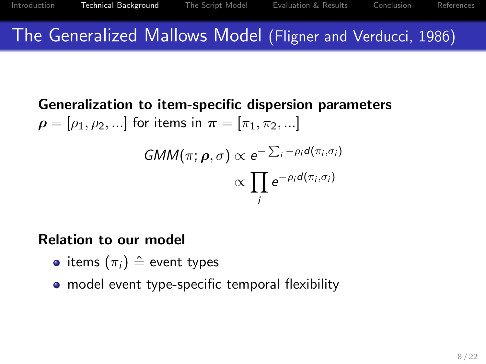## The Generalized Mallows Model (Fligner and Verducci, 1986)

Generalization to item-specific dispersion parameters  $\rho = [\rho_1, \rho_2, \ldots]$  for items in  $\pi = [\pi_1, \pi_2, \ldots]$  $\Sigma$ 

$$
GMM(\pi; \rho, \sigma) \propto e^{-\sum_i -\rho_i d(\pi_i, \sigma_i)}
$$

$$
\propto \prod_i e^{-\rho_i d(\pi_i, \sigma_i)}
$$

#### Relation to our model

- items  $(\pi_i) \triangleq$  event types
- model event type-specific temporal flexibility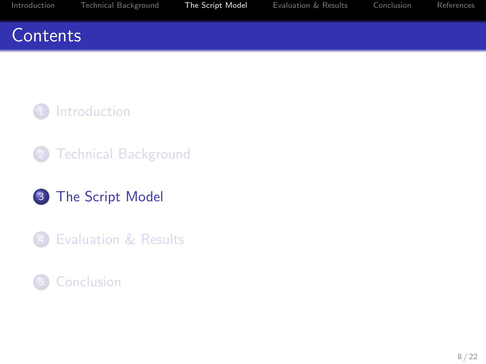## <span id="page-16-0"></span>**Contents**



- **[Technical Background](#page-13-0)**
- 3 [The Script Model](#page-16-0)
- 4 [Evaluation & Results](#page-30-0)

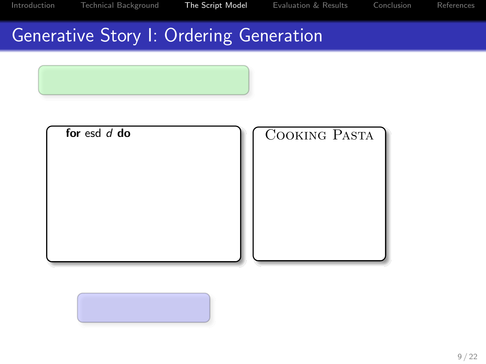# Generative Story I: Ordering Generation





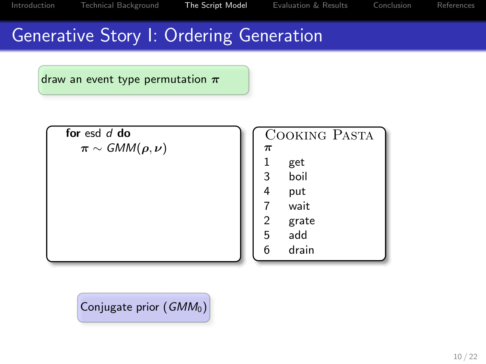## Generative Story I: Ordering Generation

draw an event type permutation  $\pi$ 



Cooking Pasta π 1 get 3 boil 4 put 7 wait 2 grate<br>5 add 5 add 6 drain

Conjugate prior (GMM<sub>0</sub>)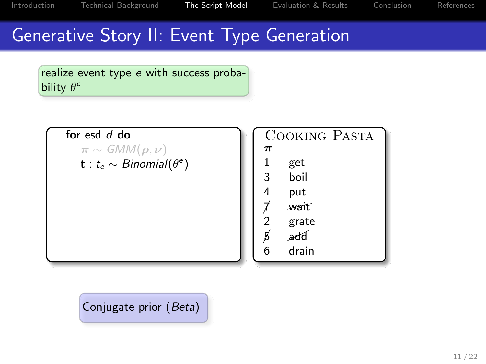## Generative Story II: Event Type Generation

realize event type e with success probability  $\theta^e$ 

for esd d do

 $\pi \sim \mathcal{G}MM(\rho,\nu)$  $\mathbf{t}:$   $t_\mathrm{e} \sim B$ inomial $(\theta^\mathrm{e})$ 

Cooking Pasta π 1 get<br>1 hoil **boil** 4 put wait 2 grate<br>p⁄add add 6 drain

Conjugate prior (Beta)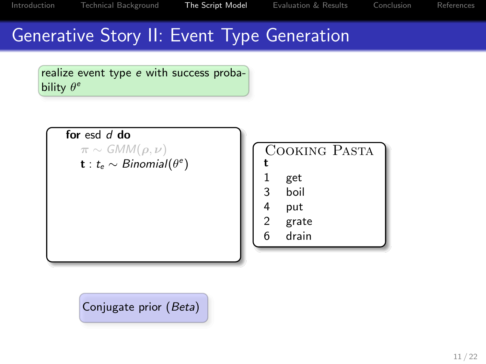## Generative Story II: Event Type Generation







Conjugate prior (Beta)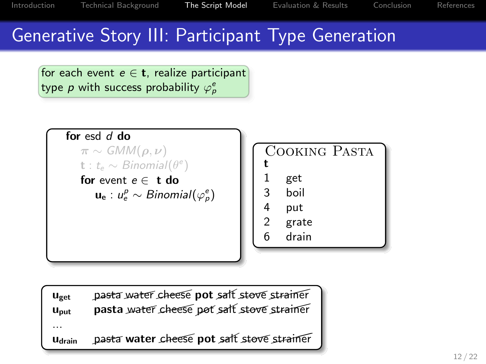## Generative Story III: Participant Type Generation

for each event  $e \in \mathbf{t}$ , realize participant type  $p$  with success probability  $\varphi_p^e$ 





| $u_{\text{get}}$ | pasta water cheese pot salt stove strainer |
|------------------|--------------------------------------------|
| Uput             | pasta water cheese pot salt stove strainer |
| .<br>Udrain      | pasta water cheese pot salt stove strainer |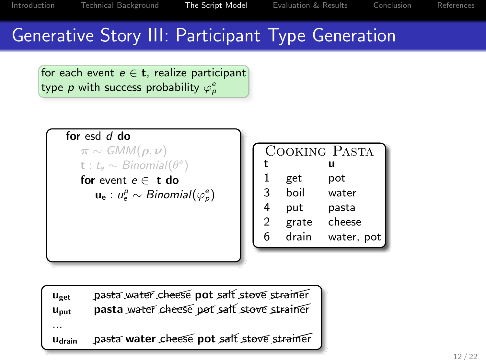## Generative Story III: Participant Type Generation

for each event  $e \in \mathbf{t}$ , realize participant type  $p$  with success probability  $\varphi_p^e$ 

```
for esd d do
\pi \sim \mathcal{G}MM(\rho,\nu)\mathbf{t}: t_e \sim Binomial(\theta^e)for event e \in t do
      \mathbf{u}_{\mathbf{e}}:u_{e}^{p}\sim Binomial(\varphi_{p}^{e})
```

|   |       | COOKING PASTA |
|---|-------|---------------|
| t |       | u             |
| 1 | get   | pot           |
| 3 | boil  | water         |
| 4 | put   | pasta         |
| 2 | grate | cheese        |
| 6 | drain | water, pot    |
|   |       |               |

| $u_{\text{get}}$ | pasta water cheese pot salt stove strainer |
|------------------|--------------------------------------------|
| Uput             | pasta water cheese pot salt stove strainer |
| .<br>Udrain      | pasta water cheese pot salt stove strainer |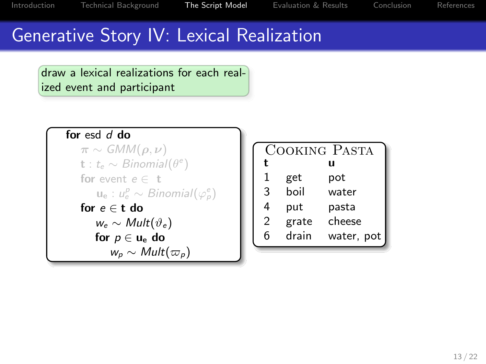## Generative Story IV: Lexical Realization

draw a lexical realizations for each realized event and participant

```
for esd d do
```
 $\pi \sim \mathcal{G}MM(\rho,\nu)$  $\mathbf{t}:$   $t_e \sim Binomial(\theta^e)$ for event  $e \in t$  $\mathbf{u}_{\mathsf{e}}:u^{\rho}_{\mathsf{e}}\sim\mathit{Binomial}(\varphi^{\mathsf{e}}_{\rho})$ for  $e \in t$  do  $w_e \sim Mult(\vartheta_e)$ for  $p \in u_e$  do  $w_p \sim Mult(\varpi_p)$ 

|                |       | COOKING PASTA |
|----------------|-------|---------------|
| t              |       | u             |
| 1              | get   | pot           |
| 3              | boil  | water         |
| 4              | put   | pasta         |
| $\mathfrak{D}$ | grate | cheese        |
| 6              | drain | water, pot    |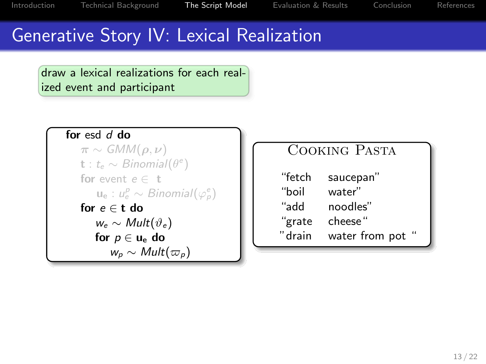## Generative Story IV: Lexical Realization

draw a lexical realizations for each realized event and participant

```
for esd d do
```
 $\pi \sim \mathcal{G}MM(\rho,\nu)$  $\mathbf{t}:$   $t_e \sim Binomial(\theta^e)$ for event  $e \in t$  $\mathbf{u}_{\mathsf{e}}:u^{\rho}_{\mathsf{e}}\sim\mathit{Binomial}(\varphi^{\mathsf{e}}_{\rho})$ for  $e \in t$  do  $w_e \sim Mult(\vartheta_e)$ for  $p \in u_e$  do  $w_p \sim Mult(\varpi_p)$ 

#### Cooking Pasta

| "fetch | saucepan"      |
|--------|----------------|
| "boil  | water"         |
| "add   | noodles"       |
| "grate | cheese"        |
| "drain | water from pot |
|        |                |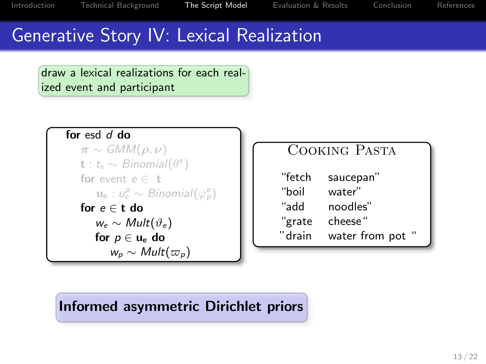## Generative Story IV: Lexical Realization

draw a lexical realizations for each realized event and participant

```
for esd \overline{d} do
```
 $\pi \sim \mathcal{G}MM(\rho,\nu)$  $\mathbf{t}:$   $t_e \sim Binomial(\theta^e)$ for event  $e \in t$  $\mathbf{u}_{\mathsf{e}}:u^{\rho}_{\mathsf{e}}\sim\mathit{Binomial}(\varphi^{\mathsf{e}}_{\rho})$ for  $e \in t$  do  $w_e \sim Mult(\vartheta_e)$ for  $p \in u_e$  do  $w_p \sim Mult(\varpi_p)$ 

#### Cooking Pasta

| "fetch | saucepan"      |
|--------|----------------|
| "boil  | water"         |
| "add   | noodles"       |
| "grate | cheese"        |
| "drain | water from pot |
|        |                |

#### Informed asymmetric Dirichlet priors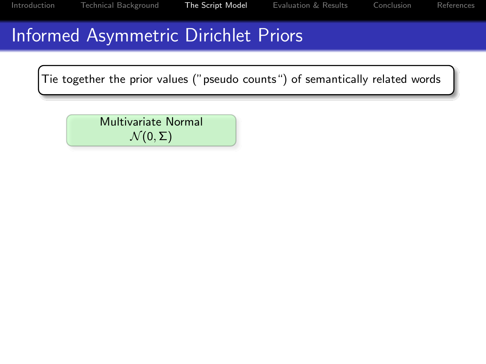# Informed Asymmetric Dirichlet Priors

Tie together the prior values ("pseudo counts") of semantically related words

Multivariate Normal  $\mathcal{N}(0,\Sigma)$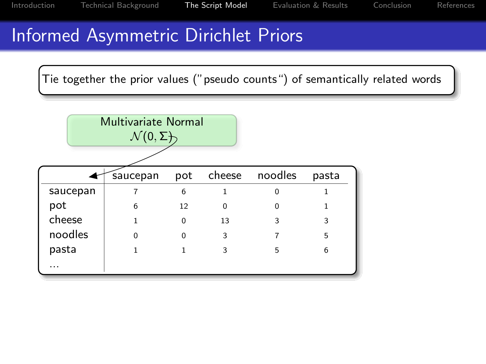## Informed Asymmetric Dirichlet Priors

Tie together the prior values ("pseudo counts") of semantically related words

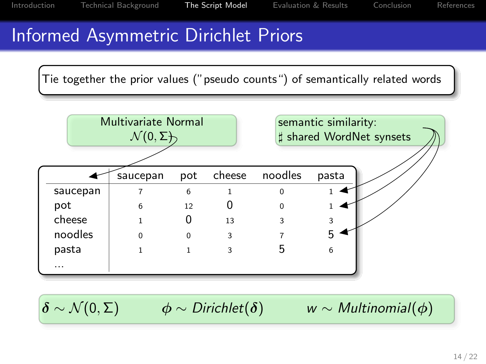## Informed Asymmetric Dirichlet Priors

Tie together the prior values ("pseudo counts") of semantically related words



 $\delta \sim \mathcal{N}(0, \Sigma)$   $\phi \sim \text{Dirichlet}(\delta)$  w ∼ Multinomial( $\phi$ )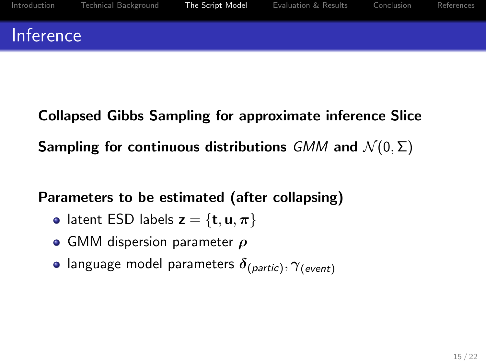Collapsed Gibbs Sampling for approximate inference Slice Sampling for continuous distributions GMM and  $\mathcal{N}(0, \Sigma)$ 

Parameters to be estimated (after collapsing)

- latent ESD labels  $z = \{t, u, \pi\}$
- GMM dispersion parameter  $\rho$
- language model parameters  $\delta_{(partic)}, \gamma_{(event)}$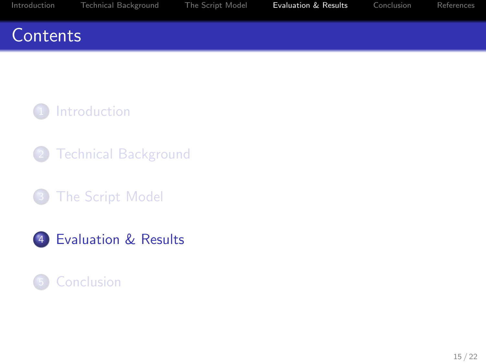## <span id="page-30-0"></span>**Contents**



- **[Technical Background](#page-13-0)**
- **3** [The Script Model](#page-16-0)
- 4 [Evaluation & Results](#page-30-0)

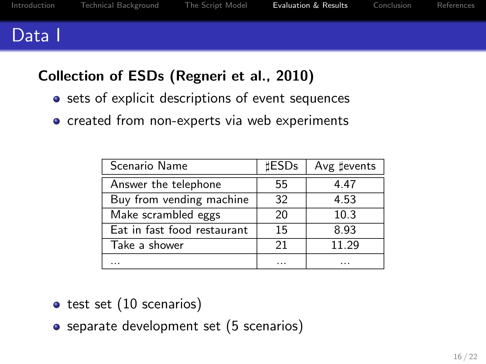#### Data I

#### Collection of ESDs (Regneri et al., 2010)

- sets of explicit descriptions of event sequences
- created from non-experts via web experiments

| Scenario Name               | <b>HESDs</b> | Avg #events |
|-----------------------------|--------------|-------------|
| Answer the telephone        | 55           | 4.47        |
| Buy from vending machine    | 32           | 4.53        |
| Make scrambled eggs         | 20           | 10.3        |
| Eat in fast food restaurant | 15           | 8.93        |
| Take a shower               | 21           | 11.29       |
|                             | .            |             |

- $\bullet$  test set  $(10$  scenarios)
- separate development set (5 scenarios)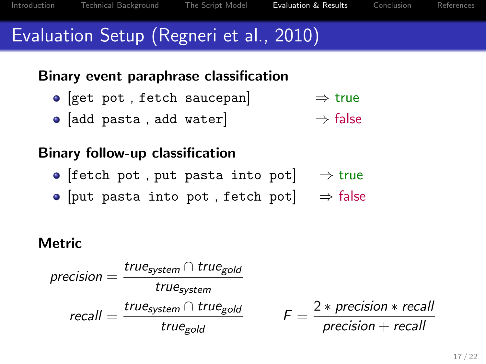# Evaluation Setup (Regneri et al., 2010)

#### Binary event paraphrase classification

- [get pot , fetch saucepan]  $\Rightarrow$  true
- [add pasta, add water]  $\Rightarrow$  false

#### Binary follow-up classification

- [fetch pot, put pasta into pot]  $\Rightarrow$  true
- [put pasta into pot, fetch pot]  $\Rightarrow$  false

#### **Metric**

$$
precision = \frac{true_{system} \cap true_{gold}}{true_{system}}
$$

$$
recall = \frac{true_{system} \cap true_{gold}}{true_{gold}} \qquad F = \frac{2 * precision * recall}{precision + recall}
$$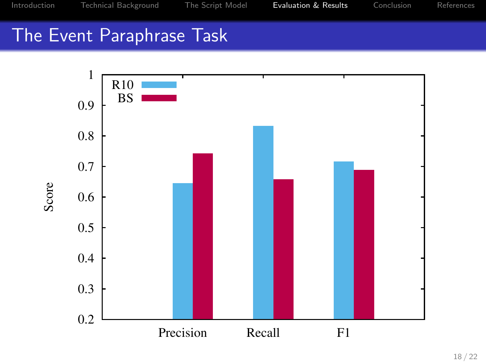## The Event Paraphrase Task



18 / 22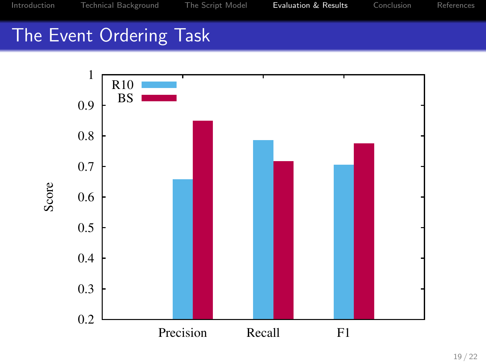## The Event Ordering Task

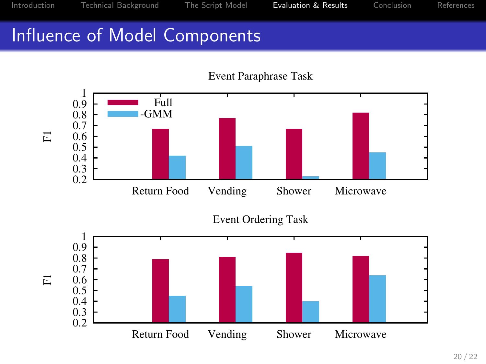## Influence of Model Components

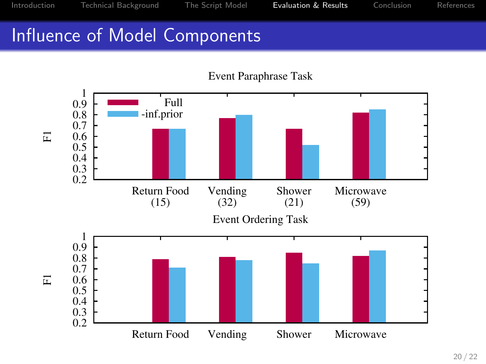## Influence of Model Components



Event Paraphrase Task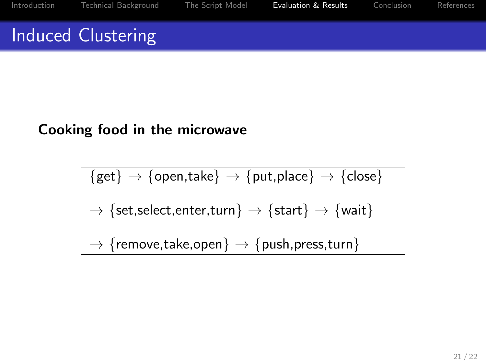# Induced Clustering

#### Cooking food in the microwave

$$
\{get\} \rightarrow \{open, take\} \rightarrow \{put, place\} \rightarrow \{close\}
$$
\n
$$
\rightarrow \{set, select, enter, turn\} \rightarrow \{start\} \rightarrow \{wait\}
$$
\n
$$
\rightarrow \{remove, take, open\} \rightarrow \{push, press, turn\}
$$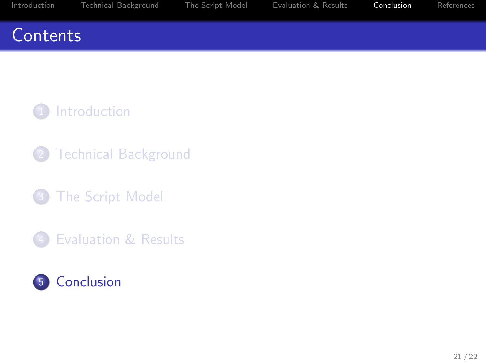## <span id="page-38-0"></span>**Contents**



- **[Technical Background](#page-13-0)**
- **3** [The Script Model](#page-16-0)
- 4 [Evaluation & Results](#page-30-0)

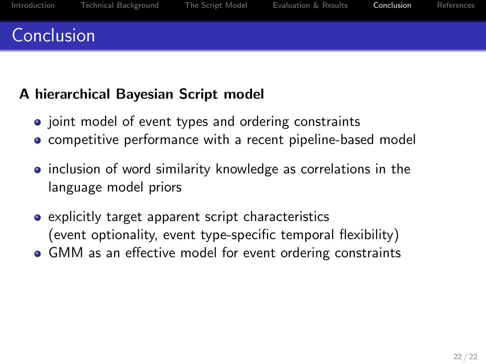#### A hierarchical Bayesian Script model

- joint model of event types and ordering constraints
- **•** competitive performance with a recent pipeline-based model
- inclusion of word similarity knowledge as correlations in the language model priors
- explicitly target apparent script characteristics (event optionality, event type-specific temporal flexibility)
- GMM as an effective model for event ordering constraints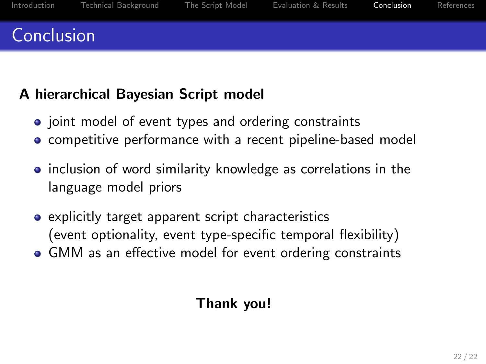## Conclusion

#### A hierarchical Bayesian Script model

- joint model of event types and ordering constraints
- **•** competitive performance with a recent pipeline-based model
- inclusion of word similarity knowledge as correlations in the language model priors
- explicitly target apparent script characteristics (event optionality, event type-specific temporal flexibility)
- GMM as an effective model for event ordering constraints

#### Thank you!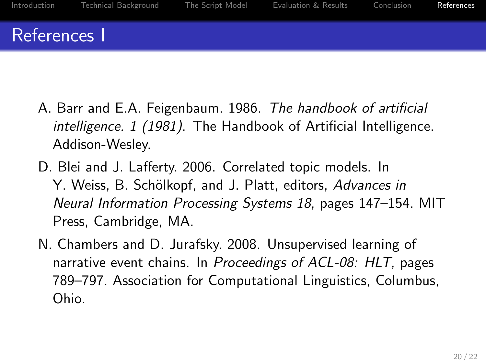- <span id="page-41-0"></span>A. Barr and E.A. Feigenbaum. 1986. The handbook of artificial intelligence. 1 (1981). The Handbook of Artificial Intelligence. Addison-Wesley.
- D. Blei and J. Lafferty. 2006. Correlated topic models. In Y. Weiss, B. Schölkopf, and J. Platt, editors, Advances in Neural Information Processing Systems 18, pages 147–154. MIT Press, Cambridge, MA.
- N. Chambers and D. Jurafsky. 2008. Unsupervised learning of narrative event chains. In Proceedings of ACL-08: HLT, pages 789–797. Association for Computational Linguistics, Columbus, Ohio.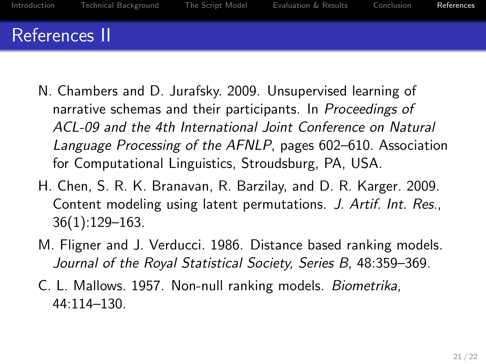- N. Chambers and D. Jurafsky. 2009. Unsupervised learning of narrative schemas and their participants. In Proceedings of ACL-09 and the 4th International Joint Conference on Natural Language Processing of the AFNLP, pages 602–610. Association for Computational Linguistics, Stroudsburg, PA, USA.
- H. Chen, S. R. K. Branavan, R. Barzilay, and D. R. Karger. 2009. Content modeling using latent permutations. J. Artif. Int. Res., 36(1):129–163.
- M. Fligner and J. Verducci. 1986. Distance based ranking models. Journal of the Royal Statistical Society, Series B, 48:359–369.
- C. L. Mallows. 1957. Non-null ranking models. Biometrika, 44:114–130.